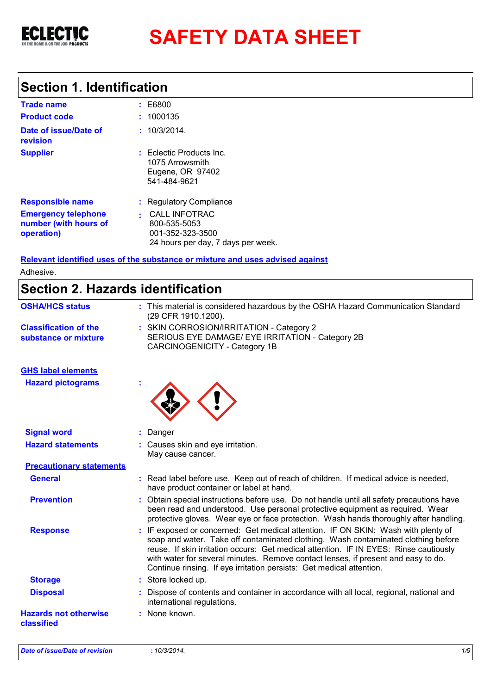

# **SAFETY DATA SHEET**

# **Section 1. Identification**

| <b>Trade name</b>                                                 | : E6800                                                                                        |
|-------------------------------------------------------------------|------------------------------------------------------------------------------------------------|
| <b>Product code</b>                                               | : 1000135                                                                                      |
| Date of issue/Date of<br>revision                                 | : 10/3/2014.                                                                                   |
| <b>Supplier</b>                                                   | $:$ Eclectic Products Inc.<br>1075 Arrowsmith<br>Eugene, OR 97402<br>541-484-9621              |
| <b>Responsible name</b>                                           | : Regulatory Compliance                                                                        |
| <b>Emergency telephone</b><br>number (with hours of<br>operation) | <b>CALL INFOTRAC</b><br>800-535-5053<br>001-352-323-3500<br>24 hours per day, 7 days per week. |

**Relevant identified uses of the substance or mixture and uses advised against** Adhesive.

# **Section 2. Hazards identification**

| : This material is considered hazardous by the OSHA Hazard Communication Standard<br>(29 CFR 1910.1200).                                                                                                                                                                                                                                                                                                                     |
|------------------------------------------------------------------------------------------------------------------------------------------------------------------------------------------------------------------------------------------------------------------------------------------------------------------------------------------------------------------------------------------------------------------------------|
| : SKIN CORROSION/IRRITATION - Category 2<br>SERIOUS EYE DAMAGE/ EYE IRRITATION - Category 2B<br><b>CARCINOGENICITY - Category 1B</b>                                                                                                                                                                                                                                                                                         |
|                                                                                                                                                                                                                                                                                                                                                                                                                              |
|                                                                                                                                                                                                                                                                                                                                                                                                                              |
| : Danger                                                                                                                                                                                                                                                                                                                                                                                                                     |
| : Causes skin and eye irritation.<br>May cause cancer.                                                                                                                                                                                                                                                                                                                                                                       |
|                                                                                                                                                                                                                                                                                                                                                                                                                              |
| : Read label before use. Keep out of reach of children. If medical advice is needed,<br>have product container or label at hand.                                                                                                                                                                                                                                                                                             |
| Obtain special instructions before use. Do not handle until all safety precautions have<br>been read and understood. Use personal protective equipment as required. Wear<br>protective gloves. Wear eye or face protection. Wash hands thoroughly after handling.                                                                                                                                                            |
| : IF exposed or concerned: Get medical attention. IF ON SKIN: Wash with plenty of<br>soap and water. Take off contaminated clothing. Wash contaminated clothing before<br>reuse. If skin irritation occurs: Get medical attention. IF IN EYES: Rinse cautiously<br>with water for several minutes. Remove contact lenses, if present and easy to do.<br>Continue rinsing. If eye irritation persists: Get medical attention. |
| : Store locked up.                                                                                                                                                                                                                                                                                                                                                                                                           |
| : Dispose of contents and container in accordance with all local, regional, national and<br>international regulations.                                                                                                                                                                                                                                                                                                       |
| : None known.                                                                                                                                                                                                                                                                                                                                                                                                                |
|                                                                                                                                                                                                                                                                                                                                                                                                                              |

*Date of issue/Date of revision* **:** *10/3/2014. 1/9*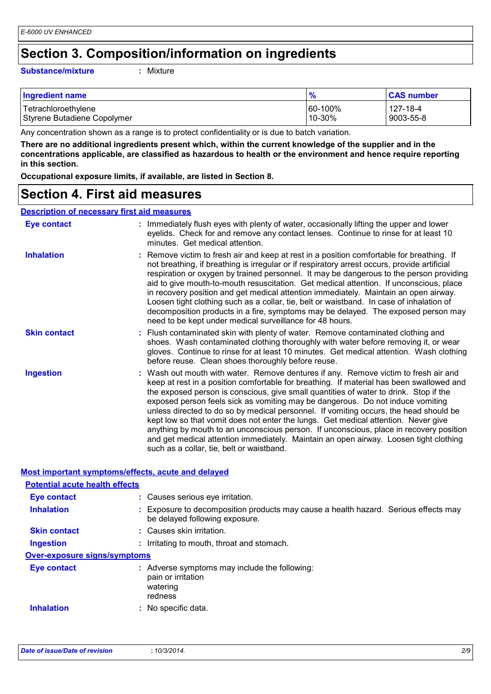### **Section 3. Composition/information on ingredients**

#### **Substance/mixture :**

: Mixture

| <b>Ingredient name</b>      | $\frac{9}{6}$ | <b>CAS number</b> |
|-----------------------------|---------------|-------------------|
| Tetrachloroethylene         | 60-100%       | 127-18-4          |
| Styrene Butadiene Copolymer | 10-30%        | 9003-55-8         |

Any concentration shown as a range is to protect confidentiality or is due to batch variation.

**There are no additional ingredients present which, within the current knowledge of the supplier and in the concentrations applicable, are classified as hazardous to health or the environment and hence require reporting in this section.**

**Occupational exposure limits, if available, are listed in Section 8.**

### **Section 4. First aid measures**

### **Description of necessary first aid measures**

| <b>Eye contact</b>  | : Immediately flush eyes with plenty of water, occasionally lifting the upper and lower<br>eyelids. Check for and remove any contact lenses. Continue to rinse for at least 10<br>minutes. Get medical attention.                                                                                                                                                                                                                                                                                                                                                                                                                                                                                                                                                         |
|---------------------|---------------------------------------------------------------------------------------------------------------------------------------------------------------------------------------------------------------------------------------------------------------------------------------------------------------------------------------------------------------------------------------------------------------------------------------------------------------------------------------------------------------------------------------------------------------------------------------------------------------------------------------------------------------------------------------------------------------------------------------------------------------------------|
| <b>Inhalation</b>   | : Remove victim to fresh air and keep at rest in a position comfortable for breathing. If<br>not breathing, if breathing is irregular or if respiratory arrest occurs, provide artificial<br>respiration or oxygen by trained personnel. It may be dangerous to the person providing<br>aid to give mouth-to-mouth resuscitation. Get medical attention. If unconscious, place<br>in recovery position and get medical attention immediately. Maintain an open airway.<br>Loosen tight clothing such as a collar, tie, belt or waistband. In case of inhalation of<br>decomposition products in a fire, symptoms may be delayed. The exposed person may<br>need to be kept under medical surveillance for 48 hours.                                                       |
| <b>Skin contact</b> | : Flush contaminated skin with plenty of water. Remove contaminated clothing and<br>shoes. Wash contaminated clothing thoroughly with water before removing it, or wear<br>gloves. Continue to rinse for at least 10 minutes. Get medical attention. Wash clothing<br>before reuse. Clean shoes thoroughly before reuse.                                                                                                                                                                                                                                                                                                                                                                                                                                                  |
| <b>Ingestion</b>    | : Wash out mouth with water. Remove dentures if any. Remove victim to fresh air and<br>keep at rest in a position comfortable for breathing. If material has been swallowed and<br>the exposed person is conscious, give small quantities of water to drink. Stop if the<br>exposed person feels sick as vomiting may be dangerous. Do not induce vomiting<br>unless directed to do so by medical personnel. If vomiting occurs, the head should be<br>kept low so that vomit does not enter the lungs. Get medical attention. Never give<br>anything by mouth to an unconscious person. If unconscious, place in recovery position<br>and get medical attention immediately. Maintain an open airway. Loosen tight clothing<br>such as a collar, tie, belt or waistband. |

#### **Most important symptoms/effects, acute and delayed**

| <b>Potential acute health effects</b> |                                                                                                                       |
|---------------------------------------|-----------------------------------------------------------------------------------------------------------------------|
| <b>Eye contact</b>                    | : Causes serious eye irritation.                                                                                      |
| <b>Inhalation</b>                     | : Exposure to decomposition products may cause a health hazard. Serious effects may<br>be delayed following exposure. |
| <b>Skin contact</b>                   | : Causes skin irritation.                                                                                             |
| <b>Ingestion</b>                      | : Irritating to mouth, throat and stomach.                                                                            |
| <b>Over-exposure signs/symptoms</b>   |                                                                                                                       |
| Eye contact                           | : Adverse symptoms may include the following:<br>pain or irritation<br>watering<br>redness                            |
| <b>Inhalation</b>                     | : No specific data.                                                                                                   |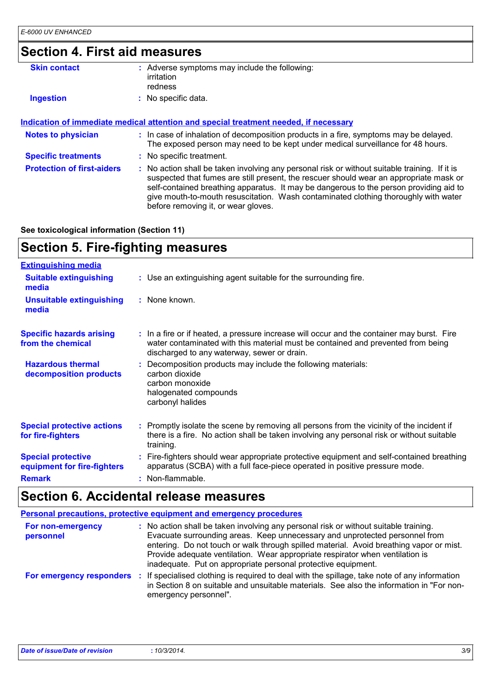# **Section 4. First aid measures**

| <b>Skin contact</b>               | : Adverse symptoms may include the following:<br>irritation<br>redness                                                                                                                                                                                                                                                                                                                                          |
|-----------------------------------|-----------------------------------------------------------------------------------------------------------------------------------------------------------------------------------------------------------------------------------------------------------------------------------------------------------------------------------------------------------------------------------------------------------------|
| <b>Ingestion</b>                  | : No specific data.                                                                                                                                                                                                                                                                                                                                                                                             |
|                                   | Indication of immediate medical attention and special treatment needed, if necessary                                                                                                                                                                                                                                                                                                                            |
| <b>Notes to physician</b>         | : In case of inhalation of decomposition products in a fire, symptoms may be delayed.<br>The exposed person may need to be kept under medical surveillance for 48 hours.                                                                                                                                                                                                                                        |
| <b>Specific treatments</b>        | : No specific treatment.                                                                                                                                                                                                                                                                                                                                                                                        |
| <b>Protection of first-aiders</b> | : No action shall be taken involving any personal risk or without suitable training. If it is<br>suspected that fumes are still present, the rescuer should wear an appropriate mask or<br>self-contained breathing apparatus. It may be dangerous to the person providing aid to<br>give mouth-to-mouth resuscitation. Wash contaminated clothing thoroughly with water<br>before removing it, or wear gloves. |

**See toxicological information (Section 11)**

# **Section 5. Fire-fighting measures**

| <b>Extinguishing media</b>                               |                                                                                                                                                                                                                               |
|----------------------------------------------------------|-------------------------------------------------------------------------------------------------------------------------------------------------------------------------------------------------------------------------------|
| <b>Suitable extinguishing</b><br>media                   | : Use an extinguishing agent suitable for the surrounding fire.                                                                                                                                                               |
| <b>Unsuitable extinguishing</b><br>media                 | : None known.                                                                                                                                                                                                                 |
| <b>Specific hazards arising</b><br>from the chemical     | : In a fire or if heated, a pressure increase will occur and the container may burst. Fire<br>water contaminated with this material must be contained and prevented from being<br>discharged to any waterway, sewer or drain. |
| <b>Hazardous thermal</b><br>decomposition products       | Decomposition products may include the following materials:<br>carbon dioxide<br>carbon monoxide<br>halogenated compounds<br>carbonyl halides                                                                                 |
| <b>Special protective actions</b><br>for fire-fighters   | : Promptly isolate the scene by removing all persons from the vicinity of the incident if<br>there is a fire. No action shall be taken involving any personal risk or without suitable<br>training.                           |
| <b>Special protective</b><br>equipment for fire-fighters | : Fire-fighters should wear appropriate protective equipment and self-contained breathing<br>apparatus (SCBA) with a full face-piece operated in positive pressure mode.                                                      |
| <b>Remark</b>                                            | : Non-flammable.                                                                                                                                                                                                              |

# **Section 6. Accidental release measures**

|                                | <b>Personal precautions, protective equipment and emergency procedures</b>                                                                                                                                                                                                                                                                                                                                     |
|--------------------------------|----------------------------------------------------------------------------------------------------------------------------------------------------------------------------------------------------------------------------------------------------------------------------------------------------------------------------------------------------------------------------------------------------------------|
| For non-emergency<br>personnel | No action shall be taken involving any personal risk or without suitable training.<br>Evacuate surrounding areas. Keep unnecessary and unprotected personnel from<br>entering. Do not touch or walk through spilled material. Avoid breathing vapor or mist.<br>Provide adequate ventilation. Wear appropriate respirator when ventilation is<br>inadequate. Put on appropriate personal protective equipment. |
| For emergency responders       | If specialised clothing is required to deal with the spillage, take note of any information<br>-11<br>in Section 8 on suitable and unsuitable materials. See also the information in "For non-<br>emergency personnel".                                                                                                                                                                                        |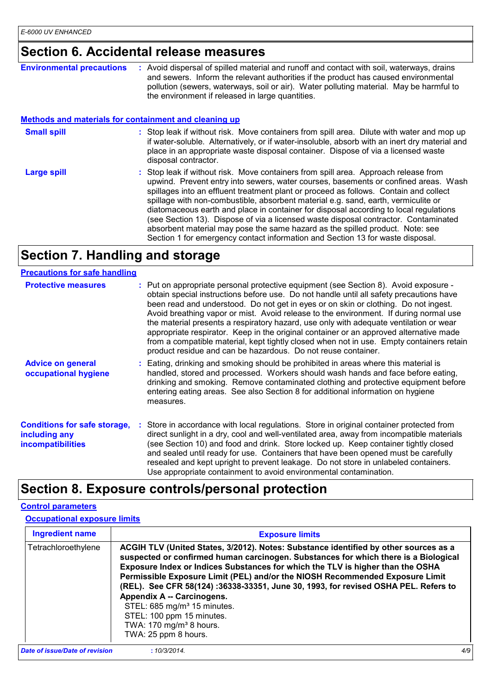### **Section 6. Accidental release measures**

| <b>Environmental precautions</b>                             | : Avoid dispersal of spilled material and runoff and contact with soil, waterways, drains<br>and sewers. Inform the relevant authorities if the product has caused environmental<br>pollution (sewers, waterways, soil or air). Water polluting material. May be harmful to<br>the environment if released in large quantities.                                                                                                                                                                                                                                                                                                                                                                              |
|--------------------------------------------------------------|--------------------------------------------------------------------------------------------------------------------------------------------------------------------------------------------------------------------------------------------------------------------------------------------------------------------------------------------------------------------------------------------------------------------------------------------------------------------------------------------------------------------------------------------------------------------------------------------------------------------------------------------------------------------------------------------------------------|
| <b>Methods and materials for containment and cleaning up</b> |                                                                                                                                                                                                                                                                                                                                                                                                                                                                                                                                                                                                                                                                                                              |
| <b>Small spill</b>                                           | : Stop leak if without risk. Move containers from spill area. Dilute with water and mop up<br>if water-soluble. Alternatively, or if water-insoluble, absorb with an inert dry material and<br>place in an appropriate waste disposal container. Dispose of via a licensed waste<br>disposal contractor.                                                                                                                                                                                                                                                                                                                                                                                                     |
| <b>Large spill</b>                                           | : Stop leak if without risk. Move containers from spill area. Approach release from<br>upwind. Prevent entry into sewers, water courses, basements or confined areas. Wash<br>spillages into an effluent treatment plant or proceed as follows. Contain and collect<br>spillage with non-combustible, absorbent material e.g. sand, earth, vermiculite or<br>diatomaceous earth and place in container for disposal according to local regulations<br>(see Section 13). Dispose of via a licensed waste disposal contractor. Contaminated<br>absorbent material may pose the same hazard as the spilled product. Note: see<br>Section 1 for emergency contact information and Section 13 for waste disposal. |

# **Section 7. Handling and storage**

| <b>Precautions for safe handling</b>                                             |                                                                                                                                                                                                                                                                                                                                                                                                                                                                                                                                                                                                                                                                                                                  |
|----------------------------------------------------------------------------------|------------------------------------------------------------------------------------------------------------------------------------------------------------------------------------------------------------------------------------------------------------------------------------------------------------------------------------------------------------------------------------------------------------------------------------------------------------------------------------------------------------------------------------------------------------------------------------------------------------------------------------------------------------------------------------------------------------------|
| <b>Protective measures</b>                                                       | : Put on appropriate personal protective equipment (see Section 8). Avoid exposure -<br>obtain special instructions before use. Do not handle until all safety precautions have<br>been read and understood. Do not get in eyes or on skin or clothing. Do not ingest.<br>Avoid breathing vapor or mist. Avoid release to the environment. If during normal use<br>the material presents a respiratory hazard, use only with adequate ventilation or wear<br>appropriate respirator. Keep in the original container or an approved alternative made<br>from a compatible material, kept tightly closed when not in use. Empty containers retain<br>product residue and can be hazardous. Do not reuse container. |
| <b>Advice on general</b><br>occupational hygiene                                 | : Eating, drinking and smoking should be prohibited in areas where this material is<br>handled, stored and processed. Workers should wash hands and face before eating,<br>drinking and smoking. Remove contaminated clothing and protective equipment before<br>entering eating areas. See also Section 8 for additional information on hygiene<br>measures.                                                                                                                                                                                                                                                                                                                                                    |
| <b>Conditions for safe storage,</b><br>including any<br><b>incompatibilities</b> | : Store in accordance with local regulations. Store in original container protected from<br>direct sunlight in a dry, cool and well-ventilated area, away from incompatible materials<br>(see Section 10) and food and drink. Store locked up. Keep container tightly closed<br>and sealed until ready for use. Containers that have been opened must be carefully<br>resealed and kept upright to prevent leakage. Do not store in unlabeled containers.<br>Use appropriate containment to avoid environmental contamination.                                                                                                                                                                                   |

# **Section 8. Exposure controls/personal protection**

### **Control parameters**

#### **Occupational exposure limits**

| <b>Ingredient name</b>         | <b>Exposure limits</b>                                                                                                                                                                                                                                                                                                                                                                                                                                                                                                                                                                                    |     |
|--------------------------------|-----------------------------------------------------------------------------------------------------------------------------------------------------------------------------------------------------------------------------------------------------------------------------------------------------------------------------------------------------------------------------------------------------------------------------------------------------------------------------------------------------------------------------------------------------------------------------------------------------------|-----|
| Tetrachloroethylene            | ACGIH TLV (United States, 3/2012). Notes: Substance identified by other sources as a<br>suspected or confirmed human carcinogen. Substances for which there is a Biological<br>Exposure Index or Indices Substances for which the TLV is higher than the OSHA<br>Permissible Exposure Limit (PEL) and/or the NIOSH Recommended Exposure Limit<br>(REL). See CFR 58(124): 36338-33351, June 30, 1993, for revised OSHA PEL. Refers to<br>Appendix A -- Carcinogens.<br>STEL: 685 mg/m <sup>3</sup> 15 minutes.<br>STEL: 100 ppm 15 minutes.<br>TWA: 170 mg/m <sup>3</sup> 8 hours.<br>TWA: 25 ppm 8 hours. |     |
| Date of issue/Date of revision | :10/3/2014.                                                                                                                                                                                                                                                                                                                                                                                                                                                                                                                                                                                               | 4/9 |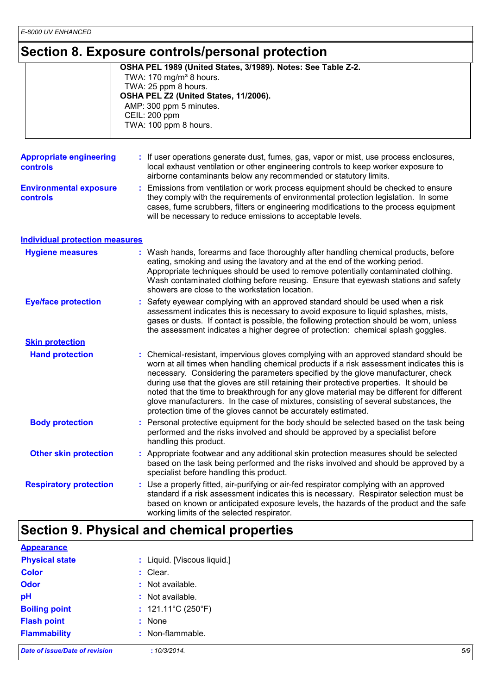### **Section 8. Exposure controls/personal protection**

|                                            | OCCHOILO: LAPOSUIG CONTROISIPGISONAL PROTECTION                                                                                                                                                                                                                                                                                                                                                                                                                                                                                                                                                                        |
|--------------------------------------------|------------------------------------------------------------------------------------------------------------------------------------------------------------------------------------------------------------------------------------------------------------------------------------------------------------------------------------------------------------------------------------------------------------------------------------------------------------------------------------------------------------------------------------------------------------------------------------------------------------------------|
|                                            | OSHA PEL 1989 (United States, 3/1989). Notes: See Table Z-2.<br>TWA: 170 mg/m <sup>3</sup> 8 hours.<br>TWA: 25 ppm 8 hours.<br>OSHA PEL Z2 (United States, 11/2006).<br>AMP: 300 ppm 5 minutes.<br>CEIL: 200 ppm<br>TWA: 100 ppm 8 hours.                                                                                                                                                                                                                                                                                                                                                                              |
| <b>Appropriate engineering</b><br>controls | : If user operations generate dust, fumes, gas, vapor or mist, use process enclosures,<br>local exhaust ventilation or other engineering controls to keep worker exposure to<br>airborne contaminants below any recommended or statutory limits.                                                                                                                                                                                                                                                                                                                                                                       |
| <b>Environmental exposure</b><br>controls  | Emissions from ventilation or work process equipment should be checked to ensure<br>they comply with the requirements of environmental protection legislation. In some<br>cases, fume scrubbers, filters or engineering modifications to the process equipment<br>will be necessary to reduce emissions to acceptable levels.                                                                                                                                                                                                                                                                                          |
| <b>Individual protection measures</b>      |                                                                                                                                                                                                                                                                                                                                                                                                                                                                                                                                                                                                                        |
| <b>Hygiene measures</b>                    | : Wash hands, forearms and face thoroughly after handling chemical products, before<br>eating, smoking and using the lavatory and at the end of the working period.<br>Appropriate techniques should be used to remove potentially contaminated clothing.<br>Wash contaminated clothing before reusing. Ensure that eyewash stations and safety<br>showers are close to the workstation location.                                                                                                                                                                                                                      |
| <b>Eye/face protection</b>                 | : Safety eyewear complying with an approved standard should be used when a risk<br>assessment indicates this is necessary to avoid exposure to liquid splashes, mists,<br>gases or dusts. If contact is possible, the following protection should be worn, unless<br>the assessment indicates a higher degree of protection: chemical splash goggles.                                                                                                                                                                                                                                                                  |
| <b>Skin protection</b>                     |                                                                                                                                                                                                                                                                                                                                                                                                                                                                                                                                                                                                                        |
| <b>Hand protection</b>                     | : Chemical-resistant, impervious gloves complying with an approved standard should be<br>worn at all times when handling chemical products if a risk assessment indicates this is<br>necessary. Considering the parameters specified by the glove manufacturer, check<br>during use that the gloves are still retaining their protective properties. It should be<br>noted that the time to breakthrough for any glove material may be different for different<br>glove manufacturers. In the case of mixtures, consisting of several substances, the<br>protection time of the gloves cannot be accurately estimated. |
| <b>Body protection</b>                     | : Personal protective equipment for the body should be selected based on the task being<br>performed and the risks involved and should be approved by a specialist before<br>handling this product.                                                                                                                                                                                                                                                                                                                                                                                                                    |
| <b>Other skin protection</b>               | : Appropriate footwear and any additional skin protection measures should be selected<br>based on the task being performed and the risks involved and should be approved by a<br>specialist before handling this product.                                                                                                                                                                                                                                                                                                                                                                                              |
| <b>Respiratory protection</b>              | : Use a properly fitted, air-purifying or air-fed respirator complying with an approved<br>standard if a risk assessment indicates this is necessary. Respirator selection must be<br>based on known or anticipated exposure levels, the hazards of the product and the safe<br>working limits of the selected respirator.                                                                                                                                                                                                                                                                                             |

# **Section 9. Physical and chemical properties**

| <b>Appearance</b>              |                                   |     |
|--------------------------------|-----------------------------------|-----|
| <b>Physical state</b>          | : Liquid. [Viscous liquid.]       |     |
| <b>Color</b>                   | $:$ Clear.                        |     |
| <b>Odor</b>                    | : Not available.                  |     |
| pH                             | : Not available.                  |     |
| <b>Boiling point</b>           | : $121.11^{\circ}C(250^{\circ}F)$ |     |
| <b>Flash point</b>             | : None                            |     |
| <b>Flammability</b>            | : Non-flammable.                  |     |
| Date of issue/Date of revision | :10/3/2014.                       | 5/9 |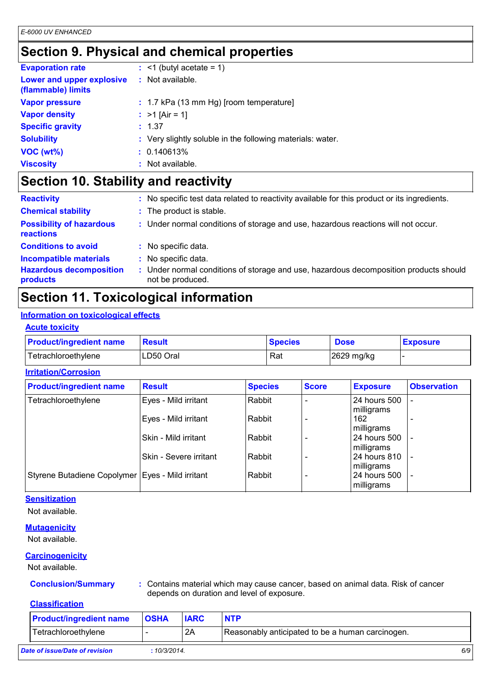# **Section 9. Physical and chemical properties**

| <b>Evaporation rate</b>                         |                    | $:$ <1 (butyl acetate = 1)                                 |
|-------------------------------------------------|--------------------|------------------------------------------------------------|
| Lower and upper explosive<br>(flammable) limits | $:$ Not available. |                                                            |
| <b>Vapor pressure</b>                           |                    | $: 1.7$ kPa (13 mm Hg) [room temperature]                  |
| <b>Vapor density</b>                            | : $>1$ [Air = 1]   |                                                            |
| <b>Specific gravity</b>                         | : 1.37             |                                                            |
| <b>Solubility</b>                               |                    | : Very slightly soluble in the following materials: water. |
| $VOC (wt\%)$                                    | : 0.140613%        |                                                            |
| <b>Viscosity</b>                                | : Not available.   |                                                            |

# **Section 10. Stability and reactivity**

| <b>Reactivity</b>                            | No specific test data related to reactivity available for this product or its ingredients.                |
|----------------------------------------------|-----------------------------------------------------------------------------------------------------------|
| <b>Chemical stability</b>                    | : The product is stable.                                                                                  |
| <b>Possibility of hazardous</b><br>reactions | : Under normal conditions of storage and use, hazardous reactions will not occur.                         |
| <b>Conditions to avoid</b>                   | No specific data.                                                                                         |
| <b>Incompatible materials</b>                | No specific data.                                                                                         |
| <b>Hazardous decomposition</b><br>products   | : Under normal conditions of storage and use, hazardous decomposition products should<br>not be produced. |

# **Section 11. Toxicological information**

### **Information on toxicological effects**

### **Acute toxicity**

| <b>Product/ingredient name</b> | <b>Result</b> | <b>Species</b> | <b>Dose</b> | <b>Exposure</b> |
|--------------------------------|---------------|----------------|-------------|-----------------|
| Tetrachloroethylene            | LD50 Oral     | Rat            | 2629 mg/kg  |                 |

### **Irritation/Corrosion**

| <b>Product/ingredient name</b>                     | <b>Result</b>          | <b>Species</b> | <b>Score</b> | <b>Exposure</b>              | <b>Observation</b> |
|----------------------------------------------------|------------------------|----------------|--------------|------------------------------|--------------------|
| Tetrachloroethylene                                | Eyes - Mild irritant   | Rabbit         |              | 24 hours 500<br>milligrams   |                    |
|                                                    | Eyes - Mild irritant   | Rabbit         |              | 162<br>milligrams            |                    |
|                                                    | Skin - Mild irritant   | Rabbit         |              | 24 hours 500<br>milligrams   |                    |
|                                                    | Skin - Severe irritant | Rabbit         |              | 24 hours 810<br>milligrams   |                    |
| Styrene Butadiene Copolymer   Eyes - Mild irritant |                        | Rabbit         |              | l 24 hours 500<br>milligrams |                    |

### **Sensitization**

Not available.

### **Mutagenicity**

Not available.

### **Carcinogenicity**

Not available.

**Conclusion/Summary :** Contains material which may cause cancer, based on animal data. Risk of cancer depends on duration and level of exposure.

### **Classification**

| <b>Product/ingredient name</b> | <b>OSHA</b> | <b>IARC</b> | <b>NTP</b>                                       |     |
|--------------------------------|-------------|-------------|--------------------------------------------------|-----|
| Tetrachloroethylene            |             | 2A          | Reasonably anticipated to be a human carcinogen. |     |
| Date of issue/Date of revision | :10/3/2014. |             |                                                  | 6/9 |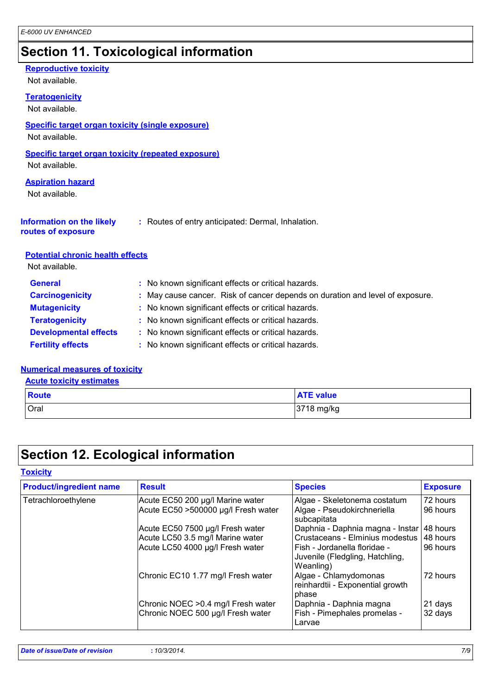# **Section 11. Toxicological information**

### **Reproductive toxicity**

Not available.

### **Teratogenicity**

Not available.

### **Specific target organ toxicity (single exposure)**

Not available.

### **Specific target organ toxicity (repeated exposure)**

Not available.

### **Aspiration hazard**

Not available.

| <b>Information on the likely</b> | : Routes of entry anticipated: Dermal, Inhalation. |
|----------------------------------|----------------------------------------------------|
|----------------------------------|----------------------------------------------------|

# **routes of exposure**

### **Potential chronic health effects**

Not available.

| : No known significant effects or critical hazards.<br><b>General</b>                                   |  |
|---------------------------------------------------------------------------------------------------------|--|
| : May cause cancer. Risk of cancer depends on duration and level of exposure.<br><b>Carcinogenicity</b> |  |
| : No known significant effects or critical hazards.<br><b>Mutagenicity</b>                              |  |
| <b>Teratogenicity</b><br>: No known significant effects or critical hazards.                            |  |
| <b>Developmental effects</b><br>: No known significant effects or critical hazards.                     |  |
| <b>Fertility effects</b><br>: No known significant effects or critical hazards.                         |  |

### **Numerical measures of toxicity**

**Acute toxicity estimates**

| <b>Route</b> | <b>ATE value</b> |
|--------------|------------------|
| Oral         | 3718 mg/kg       |

## **Section 12. Ecological information**

**Toxicity**

| <b>Product/ingredient name</b> | <b>Result</b>                                                            | <b>Species</b>                                                               | <b>Exposure</b>    |
|--------------------------------|--------------------------------------------------------------------------|------------------------------------------------------------------------------|--------------------|
| Tetrachloroethylene            | Acute EC50 200 µg/l Marine water                                         | Algae - Skeletonema costatum                                                 | 72 hours           |
|                                | Acute EC50 >500000 µg/l Fresh water                                      | Algae - Pseudokirchneriella<br>subcapitata                                   | 96 hours           |
|                                | Acute EC50 7500 µg/l Fresh water                                         | Daphnia - Daphnia magna - Instar                                             | 48 hours           |
|                                | Acute LC50 3.5 mg/l Marine water                                         | Crustaceans - Elminius modestus                                              | 48 hours           |
|                                | Acute LC50 4000 µg/l Fresh water                                         | Fish - Jordanella floridae -<br>Juvenile (Fledgling, Hatchling,<br>Weanling) | 96 hours           |
|                                | Chronic EC10 1.77 mg/l Fresh water                                       | Algae - Chlamydomonas<br>reinhardtii - Exponential growth<br>phase           | 72 hours           |
|                                | Chronic NOEC > 0.4 mg/l Fresh water<br>Chronic NOEC 500 µg/l Fresh water | Daphnia - Daphnia magna<br>Fish - Pimephales promelas -<br>Larvae            | 21 days<br>32 days |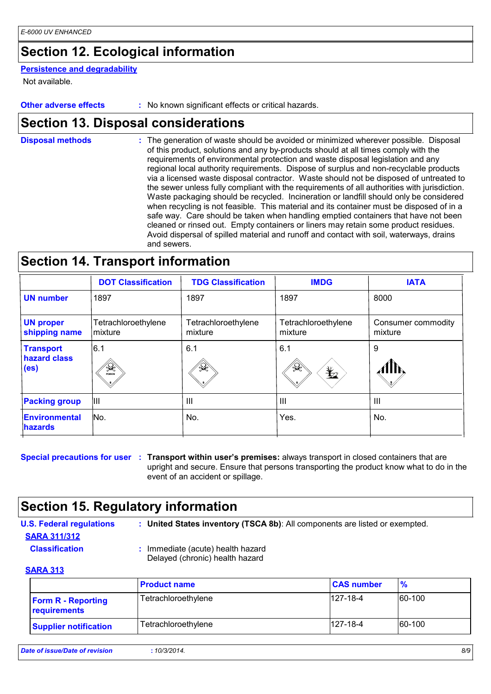# **Section 12. Ecological information**

#### **Persistence and degradability**

Not available.

**Other adverse effects** : No known significant effects or critical hazards.

### **Section 13. Disposal considerations**

The generation of waste should be avoided or minimized wherever possible. Disposal of this product, solutions and any by-products should at all times comply with the requirements of environmental protection and waste disposal legislation and any regional local authority requirements. Dispose of surplus and non-recyclable products via a licensed waste disposal contractor. Waste should not be disposed of untreated to the sewer unless fully compliant with the requirements of all authorities with jurisdiction. Waste packaging should be recycled. Incineration or landfill should only be considered when recycling is not feasible. This material and its container must be disposed of in a safe way. Care should be taken when handling emptied containers that have not been cleaned or rinsed out. Empty containers or liners may retain some product residues. Avoid dispersal of spilled material and runoff and contact with soil, waterways, drains and sewers. **Disposal methods :**

### **Section 14. Transport information**

|                                                       | <b>DOT Classification</b>       | <b>TDG Classification</b>      | <b>IMDG</b>                    | <b>IATA</b>                   |
|-------------------------------------------------------|---------------------------------|--------------------------------|--------------------------------|-------------------------------|
| <b>UN number</b>                                      | 1897                            | 1897                           | 1897                           | 8000                          |
| <b>UN proper</b><br>shipping name                     | Tetrachloroethylene<br>Imixture | Tetrachloroethylene<br>mixture | Tetrachloroethylene<br>mixture | Consumer commodity<br>mixture |
| <b>Transport</b><br>hazard class<br>(e <sub>s</sub> ) | 6.1<br>$\mathcal{A}$<br>POISON  | 6.1<br>$\mathbb{Q}$            | 6.1<br>تجيلة<br>$\bigstar$     | 9                             |
| <b>Packing group</b>                                  | IШ                              | III                            | III                            | III                           |
| Environmental<br><b>hazards</b>                       | No.                             | No.                            | Yes.                           | No.                           |

**Special precautions for user** : Transport within user's premises: always transport in closed containers that are upright and secure. Ensure that persons transporting the product know what to do in the event of an accident or spillage.

### **Section 15. Regulatory information**

**U.S. Federal regulations : SARA 311/312**

**United States inventory (TSCA 8b)**: All components are listed or exempted.

**Classification :** Immediate (acute) health hazard Delayed (chronic) health hazard

#### **SARA 313**

|                                           | <b>Product name</b> | <b>CAS number</b> | $\frac{9}{6}$ |
|-------------------------------------------|---------------------|-------------------|---------------|
| <b>Form R - Reporting</b><br>requirements | Tetrachloroethylene | $127 - 18 - 4$    | 60-100        |
| <b>Supplier notification</b>              | Tetrachloroethylene | $127 - 18 - 4$    | 60-100        |

*Date of issue/Date of revision* **:** *10/3/2014. 8/9*